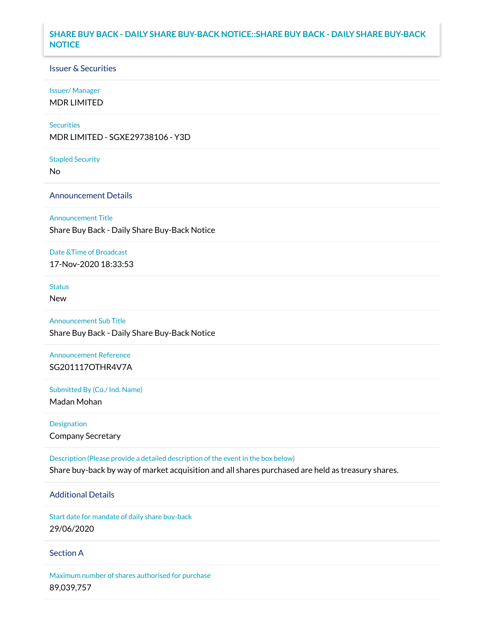## **SHARE BUY BACK - DAILY SHARE BUY-BACK NOTICE::SHARE BUY BACK - DAILY SHARE BUY-BACK NOTICE**

### Issuer & Securities

#### Issuer/ Manager

MDR LIMITED

#### **Securities**

MDR LIMITED - SGXE29738106 - Y3D

#### Stapled Security

No

## Announcement Details

Announcement Title

Share Buy Back - Daily Share Buy-Back Notice

#### Date &Time of Broadcast

17-Nov-2020 18:33:53

# Status

New

# Announcement Sub Title

Share Buy Back - Daily Share Buy-Back Notice

# Announcement Reference SG201117OTHR4V7A

Submitted By (Co./ Ind. Name)

Madan Mohan

# Designation Company Secretary

Description (Please provide a detailed description of the event in the box below) Share buy-back by way of market acquisition and all shares purchased are held as treasury shares.

# Additional Details

Start date for mandate of daily share buy-back 29/06/2020

### Section A

Maximum number of shares authorised for purchase 89,039,757